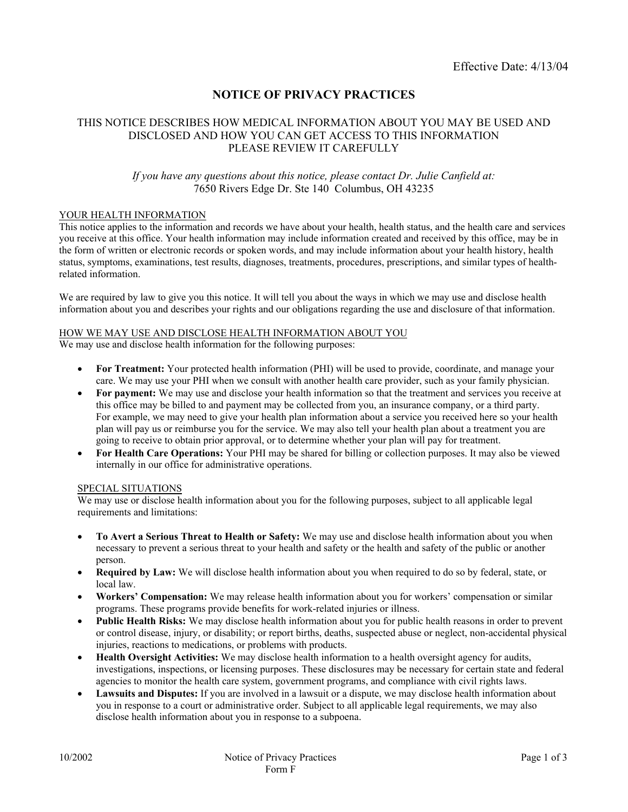# **NOTICE OF PRIVACY PRACTICES**

## THIS NOTICE DESCRIBES HOW MEDICAL INFORMATION ABOUT YOU MAY BE USED AND DISCLOSED AND HOW YOU CAN GET ACCESS TO THIS INFORMATION PLEASE REVIEW IT CAREFULLY

## *If you have any questions about this notice, please contact Dr. Julie Canfield at:* 7650 Rivers Edge Dr. Ste 140 Columbus, OH 43235

#### YOUR HEALTH INFORMATION

This notice applies to the information and records we have about your health, health status, and the health care and services you receive at this office. Your health information may include information created and received by this office, may be in the form of written or electronic records or spoken words, and may include information about your health history, health status, symptoms, examinations, test results, diagnoses, treatments, procedures, prescriptions, and similar types of healthrelated information.

We are required by law to give you this notice. It will tell you about the ways in which we may use and disclose health information about you and describes your rights and our obligations regarding the use and disclosure of that information.

#### HOW WE MAY USE AND DISCLOSE HEALTH INFORMATION ABOUT YOU

We may use and disclose health information for the following purposes:

- **For Treatment:** Your protected health information (PHI) will be used to provide, coordinate, and manage your care. We may use your PHI when we consult with another health care provider, such as your family physician.
- **For payment:** We may use and disclose your health information so that the treatment and services you receive at this office may be billed to and payment may be collected from you, an insurance company, or a third party. For example, we may need to give your health plan information about a service you received here so your health plan will pay us or reimburse you for the service. We may also tell your health plan about a treatment you are going to receive to obtain prior approval, or to determine whether your plan will pay for treatment.
- **For Health Care Operations:** Your PHI may be shared for billing or collection purposes. It may also be viewed internally in our office for administrative operations.

#### SPECIAL SITUATIONS

We may use or disclose health information about you for the following purposes, subject to all applicable legal requirements and limitations:

- **To Avert a Serious Threat to Health or Safety:** We may use and disclose health information about you when necessary to prevent a serious threat to your health and safety or the health and safety of the public or another person.
- **Required by Law:** We will disclose health information about you when required to do so by federal, state, or local law.
- **Workers' Compensation:** We may release health information about you for workers' compensation or similar programs. These programs provide benefits for work-related injuries or illness.
- **Public Health Risks:** We may disclose health information about you for public health reasons in order to prevent or control disease, injury, or disability; or report births, deaths, suspected abuse or neglect, non-accidental physical injuries, reactions to medications, or problems with products.
- **Health Oversight Activities:** We may disclose health information to a health oversight agency for audits, investigations, inspections, or licensing purposes. These disclosures may be necessary for certain state and federal agencies to monitor the health care system, government programs, and compliance with civil rights laws.
- **Lawsuits and Disputes:** If you are involved in a lawsuit or a dispute, we may disclose health information about you in response to a court or administrative order. Subject to all applicable legal requirements, we may also disclose health information about you in response to a subpoena.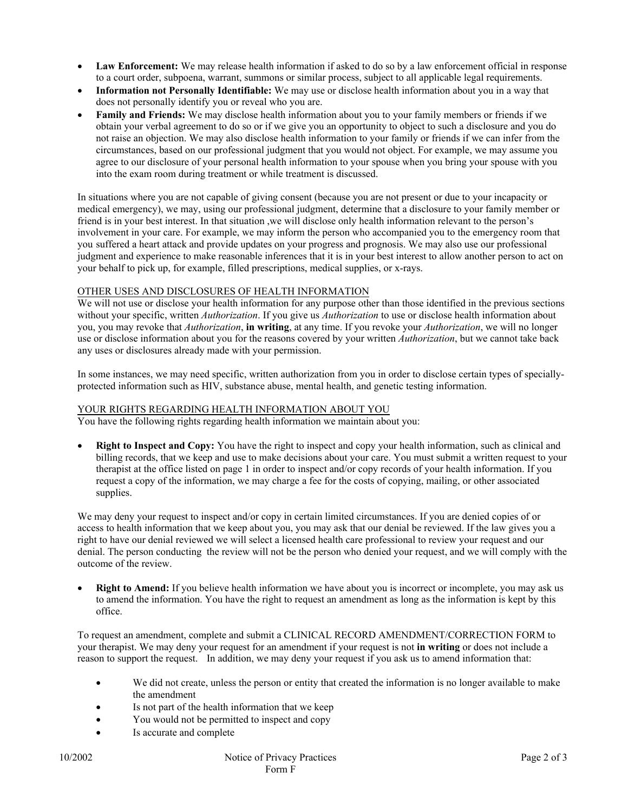- **Law Enforcement:** We may release health information if asked to do so by a law enforcement official in response to a court order, subpoena, warrant, summons or similar process, subject to all applicable legal requirements.
- **Information not Personally Identifiable:** We may use or disclose health information about you in a way that does not personally identify you or reveal who you are.
- **Family and Friends:** We may disclose health information about you to your family members or friends if we obtain your verbal agreement to do so or if we give you an opportunity to object to such a disclosure and you do not raise an objection. We may also disclose health information to your family or friends if we can infer from the circumstances, based on our professional judgment that you would not object. For example, we may assume you agree to our disclosure of your personal health information to your spouse when you bring your spouse with you into the exam room during treatment or while treatment is discussed.

In situations where you are not capable of giving consent (because you are not present or due to your incapacity or medical emergency), we may, using our professional judgment, determine that a disclosure to your family member or friend is in your best interest. In that situation ,we will disclose only health information relevant to the person's involvement in your care. For example, we may inform the person who accompanied you to the emergency room that you suffered a heart attack and provide updates on your progress and prognosis. We may also use our professional judgment and experience to make reasonable inferences that it is in your best interest to allow another person to act on your behalf to pick up, for example, filled prescriptions, medical supplies, or x-rays.

### OTHER USES AND DISCLOSURES OF HEALTH INFORMATION

We will not use or disclose your health information for any purpose other than those identified in the previous sections without your specific, written *Authorization*. If you give us *Authorization* to use or disclose health information about you, you may revoke that *Authorization*, **in writing**, at any time. If you revoke your *Authorization*, we will no longer use or disclose information about you for the reasons covered by your written *Authorization*, but we cannot take back any uses or disclosures already made with your permission.

In some instances, we may need specific, written authorization from you in order to disclose certain types of speciallyprotected information such as HIV, substance abuse, mental health, and genetic testing information.

## YOUR RIGHTS REGARDING HEALTH INFORMATION ABOUT YOU

You have the following rights regarding health information we maintain about you:

 **Right to Inspect and Copy:** You have the right to inspect and copy your health information, such as clinical and billing records, that we keep and use to make decisions about your care. You must submit a written request to your therapist at the office listed on page 1 in order to inspect and/or copy records of your health information. If you request a copy of the information, we may charge a fee for the costs of copying, mailing, or other associated supplies.

We may deny your request to inspect and/or copy in certain limited circumstances. If you are denied copies of or access to health information that we keep about you, you may ask that our denial be reviewed. If the law gives you a right to have our denial reviewed we will select a licensed health care professional to review your request and our denial. The person conducting the review will not be the person who denied your request, and we will comply with the outcome of the review.

 **Right to Amend:** If you believe health information we have about you is incorrect or incomplete, you may ask us to amend the information. You have the right to request an amendment as long as the information is kept by this office.

To request an amendment, complete and submit a CLINICAL RECORD AMENDMENT/CORRECTION FORM to your therapist. We may deny your request for an amendment if your request is not **in writing** or does not include a reason to support the request. In addition, we may deny your request if you ask us to amend information that:

- We did not create, unless the person or entity that created the information is no longer available to make the amendment
- Is not part of the health information that we keep
- You would not be permitted to inspect and copy
- Is accurate and complete